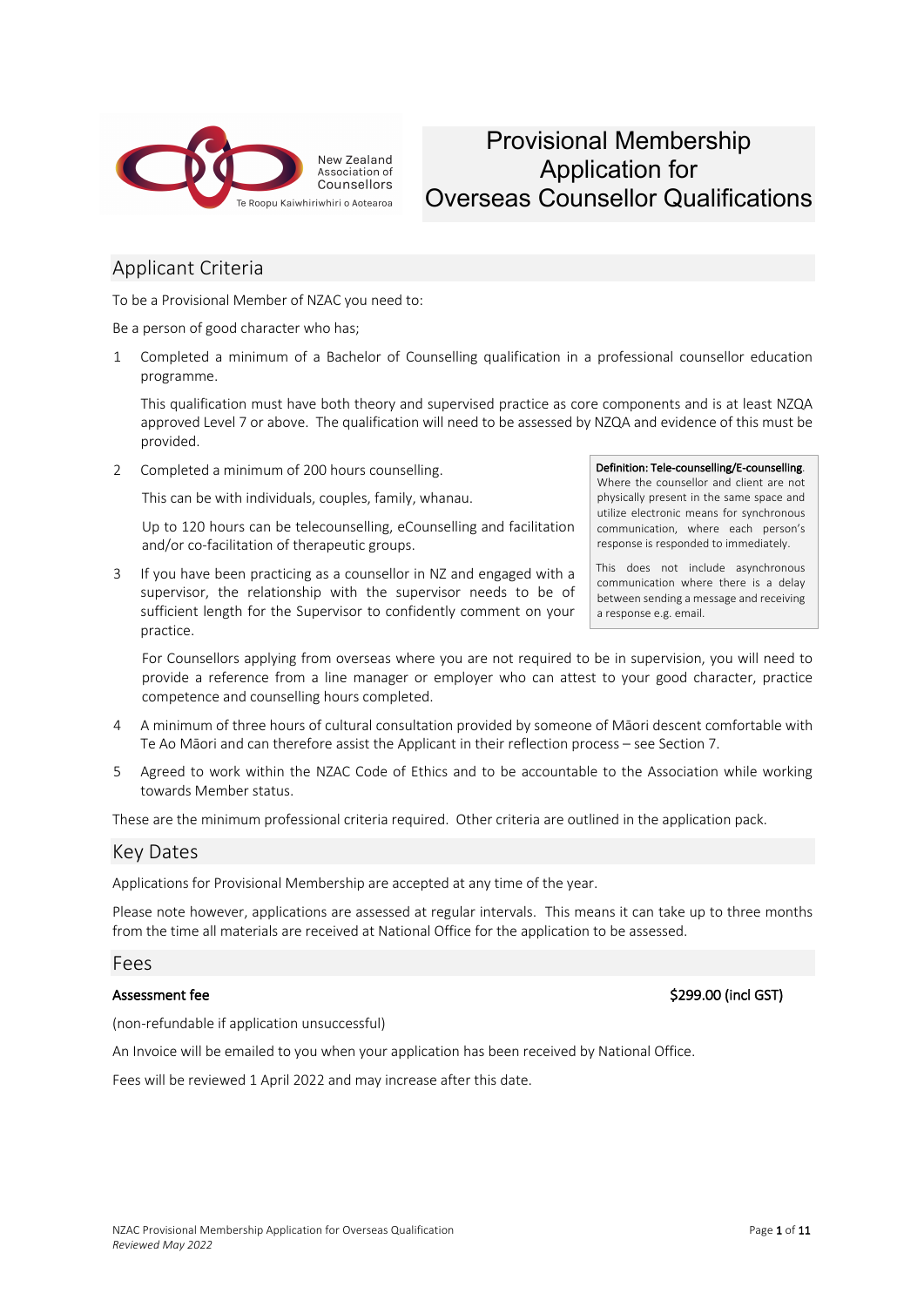

### Provisional Membership Application for Overseas Counsellor Qualifications

#### Applicant Criteria

To be a Provisional Member of NZAC you need to:

Be a person of good character who has;

1 Completed a minimum of a Bachelor of Counselling qualification in a professional counsellor education programme.

This qualification must have both theory and supervised practice as core components and is at least NZQA approved Level 7 or above. The qualification will need to be assessed by NZQA and evidence of this must be provided.

2 Completed a minimum of 200 hours counselling.

This can be with individuals, couples, family, whanau.

Up to 120 hours can be telecounselling, eCounselling and facilitation and/or co-facilitation of therapeutic groups.

3 If you have been practicing as a counsellor in NZ and engaged with a supervisor, the relationship with the supervisor needs to be of sufficient length for the Supervisor to confidently comment on your practice.

#### Definition: Tele-counselling/E-counselling.

Where the counsellor and client are not physically present in the same space and utilize electronic means for synchronous communication, where each person's response is responded to immediately.

This does not include asynchronous communication where there is a delay between sending a message and receiving a response e.g. email.

For Counsellors applying from overseas where you are not required to be in supervision, you will need to provide a reference from a line manager or employer who can attest to your good character, practice competence and counselling hours completed.

- 4 A minimum of three hours of cultural consultation provided by someone of Māori descent comfortable with Te Ao Māori and can therefore assist the Applicant in their reflection process – see Section 7.
- 5 Agreed to work within the NZAC Code of Ethics and to be accountable to the Association while working towards Member status.

These are the minimum professional criteria required. Other criteria are outlined in the application pack.

#### Key Dates

Applications for Provisional Membership are accepted at any time of the year.

Please note however, applications are assessed at regular intervals. This means it can take up to three months from the time all materials are received at National Office for the application to be assessed.

#### Fees

Assessment fee \$299.00 (incl GST)

(non-refundable if application unsuccessful)

An Invoice will be emailed to you when your application has been received by National Office.

Fees will be reviewed 1 April 2022 and may increase after this date.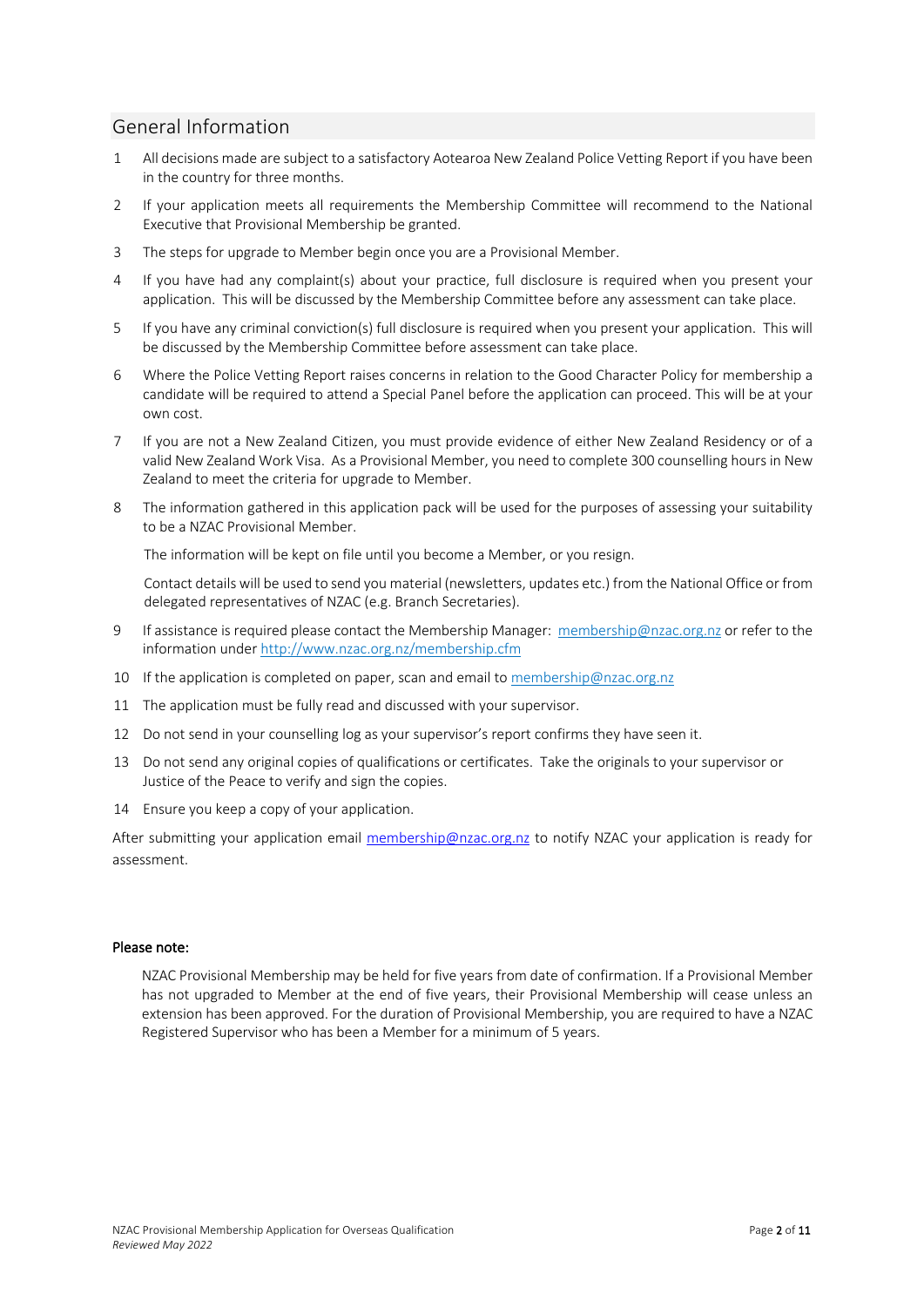#### General Information

- 1 All decisions made are subject to a satisfactory Aotearoa New Zealand Police Vetting Report if you have been in the country for three months.
- 2 If your application meets all requirements the Membership Committee will recommend to the National Executive that Provisional Membership be granted.
- 3 The steps for upgrade to Member begin once you are a Provisional Member.
- 4 If you have had any complaint(s) about your practice, full disclosure is required when you present your application. This will be discussed by the Membership Committee before any assessment can take place.
- 5 If you have any criminal conviction(s) full disclosure is required when you present your application. This will be discussed by the Membership Committee before assessment can take place.
- 6 Where the Police Vetting Report raises concerns in relation to the Good Character Policy for membership a candidate will be required to attend a Special Panel before the application can proceed. This will be at your own cost.
- 7 If you are not a New Zealand Citizen, you must provide evidence of either New Zealand Residency or of a valid New Zealand Work Visa. As a Provisional Member, you need to complete 300 counselling hours in New Zealand to meet the criteria for upgrade to Member.
- 8 The information gathered in this application pack will be used for the purposes of assessing your suitability to be a NZAC Provisional Member.

The information will be kept on file until you become a Member, or you resign.

Contact details will be used to send you material (newsletters, updates etc.) from the National Office or from delegated representatives of NZAC (e.g. Branch Secretaries).

- 9 If assistance is required please contact the Membership Manager: membership@nzac.org.nz or refer to the information under http://www.nzac.org.nz/membership.cfm
- 10 If the application is completed on paper, scan and email to membership@nzac.org.nz
- 11 The application must be fully read and discussed with your supervisor.
- 12 Do not send in your counselling log as your supervisor's report confirms they have seen it.
- 13 Do not send any original copies of qualifications or certificates. Take the originals to your supervisor or Justice of the Peace to verify and sign the copies.
- 14 Ensure you keep a copy of your application.

After submitting your application email membership@nzac.org.nz to notify NZAC your application is ready for assessment.

#### Please note:

NZAC Provisional Membership may be held for five years from date of confirmation. If a Provisional Member has not upgraded to Member at the end of five years, their Provisional Membership will cease unless an extension has been approved. For the duration of Provisional Membership, you are required to have a NZAC Registered Supervisor who has been a Member for a minimum of 5 years.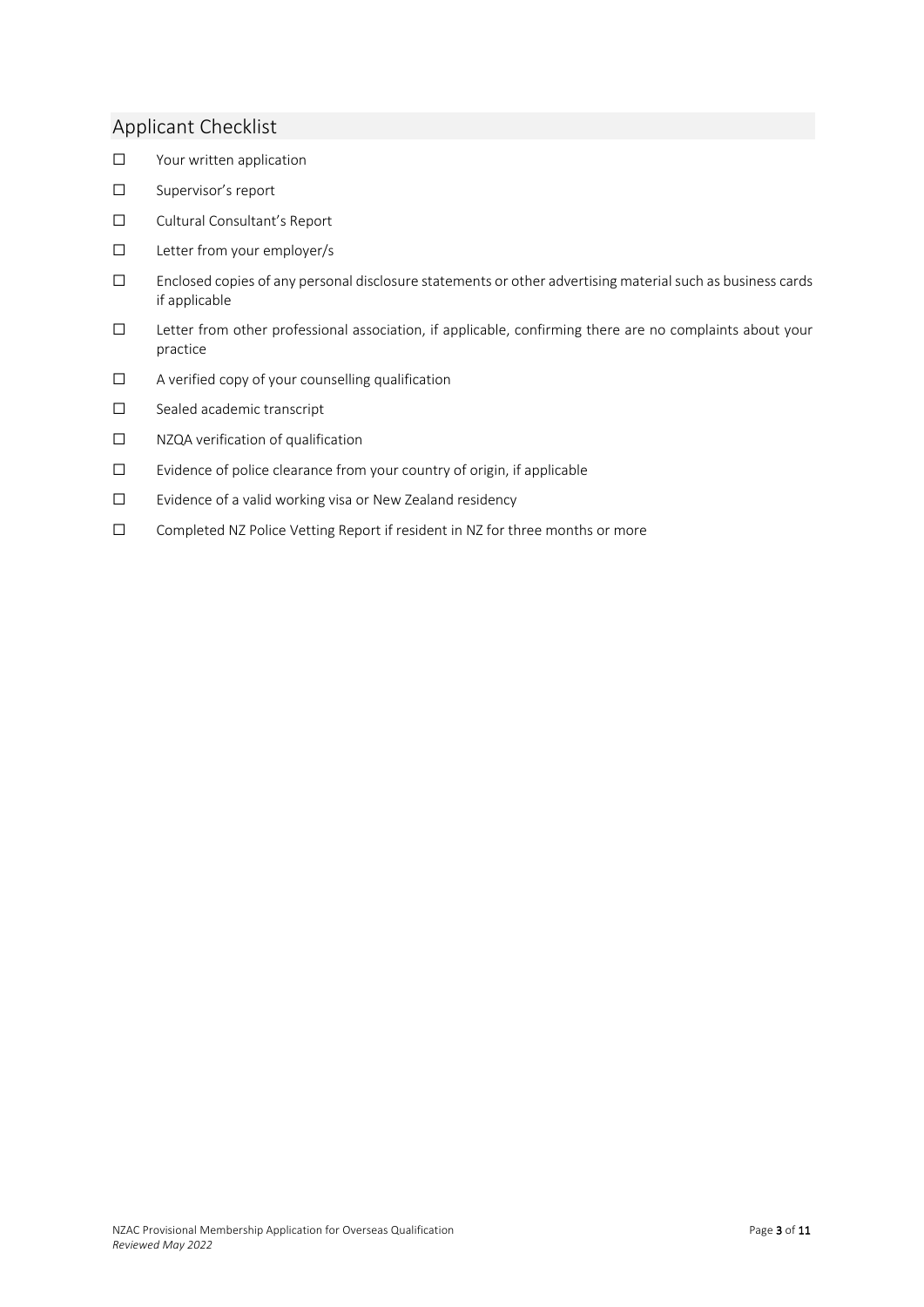#### Applicant Checklist

- ☐ Your written application
- ☐ Supervisor's report
- ☐ Cultural Consultant's Report
- ☐ Letter from your employer/s
- ☐ Enclosed copies of any personal disclosure statements or other advertising material such as business cards if applicable
- ☐ Letter from other professional association, if applicable, confirming there are no complaints about your practice
- ☐ A verified copy of your counselling qualification
- ☐ Sealed academic transcript
- ☐ NZQA verification of qualification
- ☐ Evidence of police clearance from your country of origin, if applicable
- ☐ Evidence of a valid working visa or New Zealand residency
- ☐ Completed NZ Police Vetting Report if resident in NZ for three months or more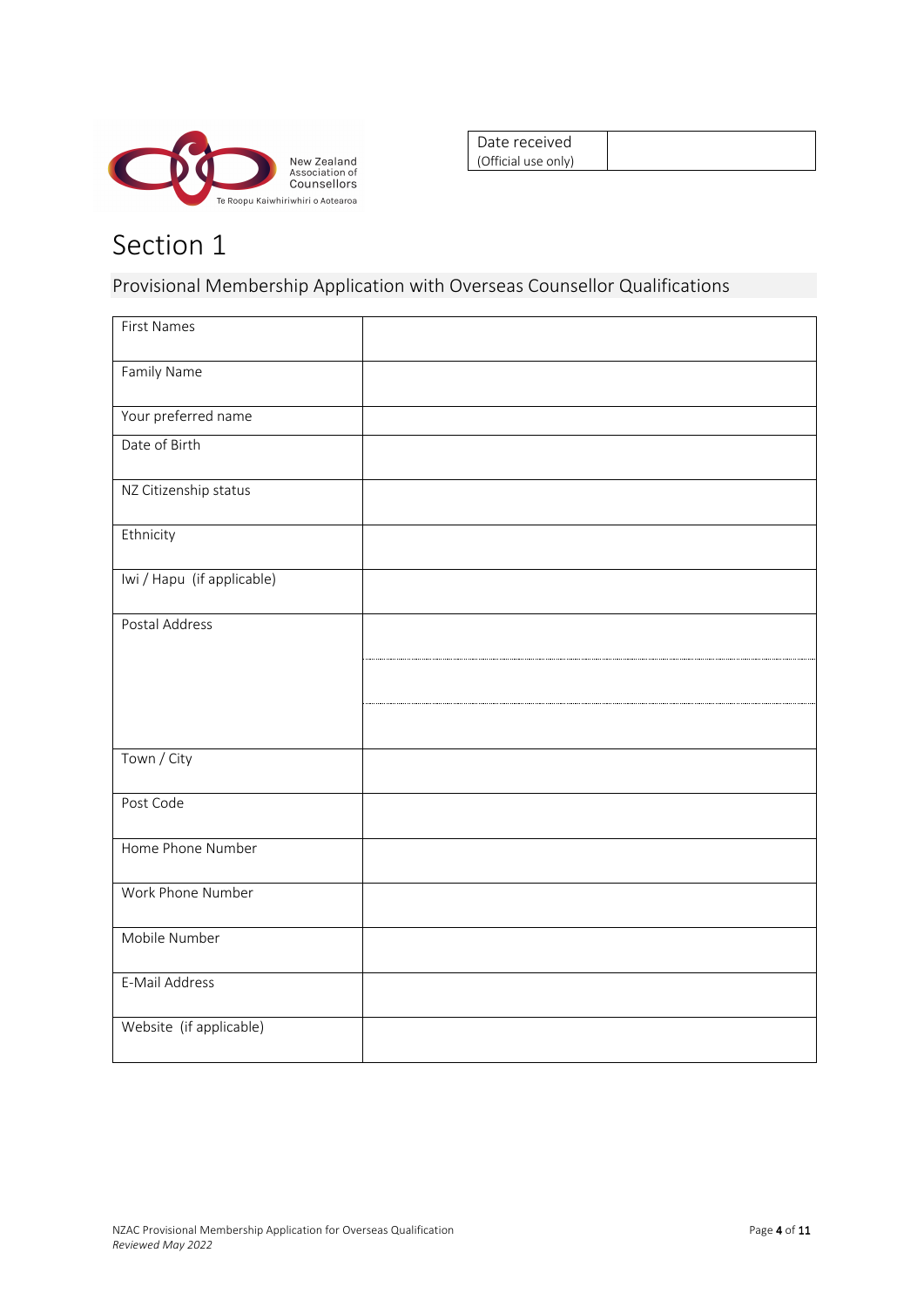

Date received (Official use only)

## Section 1

Provisional Membership Application with Overseas Counsellor Qualifications

| <b>First Names</b>         |  |
|----------------------------|--|
| Family Name                |  |
| Your preferred name        |  |
| Date of Birth              |  |
| NZ Citizenship status      |  |
| Ethnicity                  |  |
| Iwi / Hapu (if applicable) |  |
| Postal Address             |  |
|                            |  |
|                            |  |
| Town / City                |  |
| Post Code                  |  |
| Home Phone Number          |  |
| Work Phone Number          |  |
| Mobile Number              |  |
| E-Mail Address             |  |
| Website (if applicable)    |  |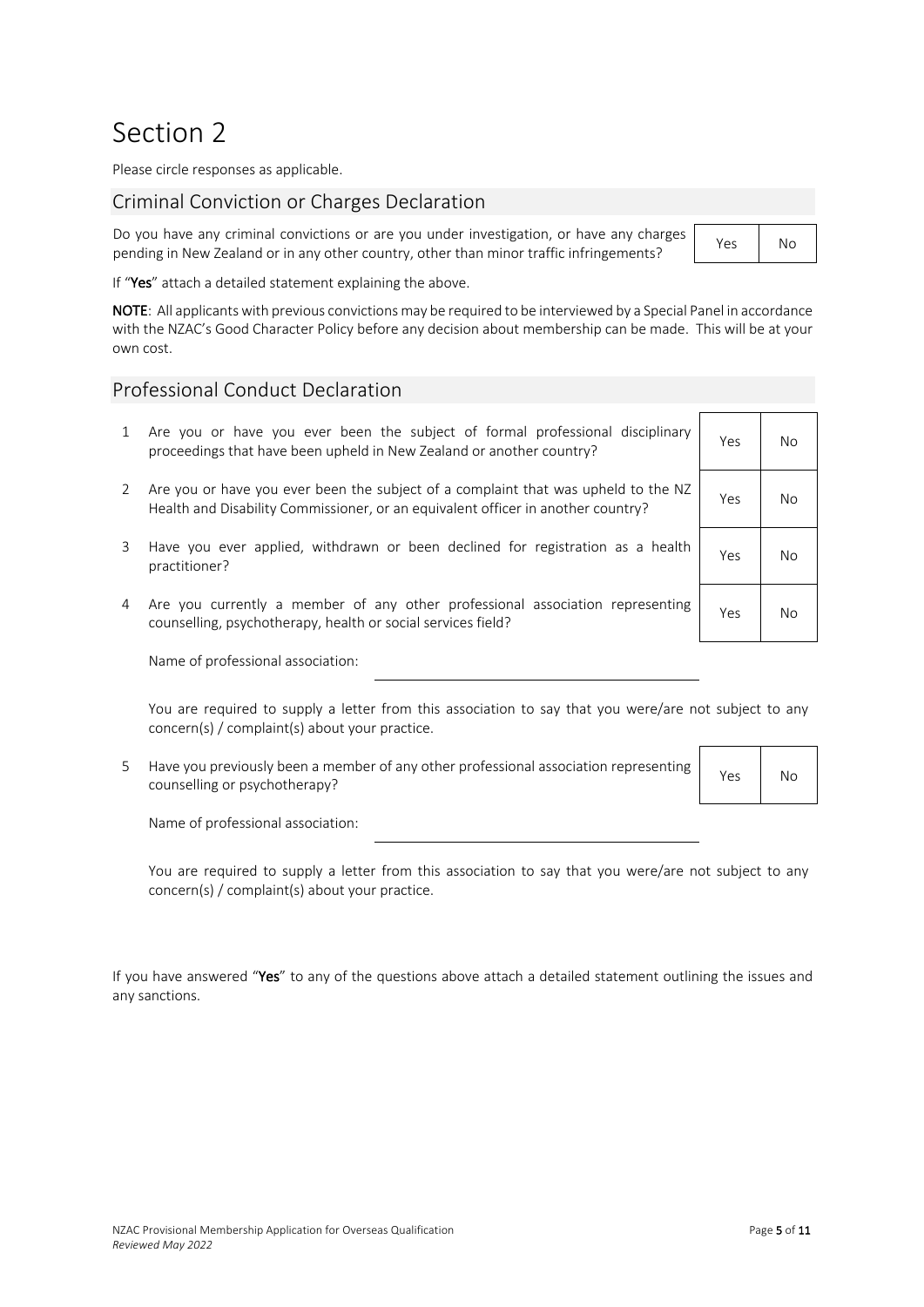### Section 2

Please circle responses as applicable.

#### Criminal Conviction or Charges Declaration

Do you have any criminal convictions or are you under investigation, or have any charges  $\frac{1}{2}$  pending in New Zealand or in any other country, other than minor traffic infringements?

|  | Nο |
|--|----|
|--|----|

If "Yes" attach a detailed statement explaining the above.

NOTE: All applicants with previous convictions may be required to be interviewed by a Special Panel in accordance with the NZAC's Good Character Policy before any decision about membership can be made. This will be at your own cost.

#### Professional Conduct Declaration

- 1 Are you or have you ever been the subject of formal professional disciplinary proceedings that have been upheld in New Zealand or another country?
- 2 Are you or have you ever been the subject of a complaint that was upheld to the NZ Health and Disability Commissioner, or an equivalent officer in another country? Yes No
- 3 Have you ever applied, withdrawn or been declined for registration as a health practitioner? Yes No
- 4 Are you currently a member of any other professional association representing External variance of any other professional association representing ves No<br>counselling, psychotherapy, health or social services field?

Name of professional association:

You are required to supply a letter from this association to say that you were/are not subject to any concern(s) / complaint(s) about your practice.

5 Have you previously been a member of any other professional association representing riave you previously been a member of any other professional association representing Yes No

Name of professional association:

You are required to supply a letter from this association to say that you were/are not subject to any concern(s) / complaint(s) about your practice.

If you have answered "Yes" to any of the questions above attach a detailed statement outlining the issues and any sanctions.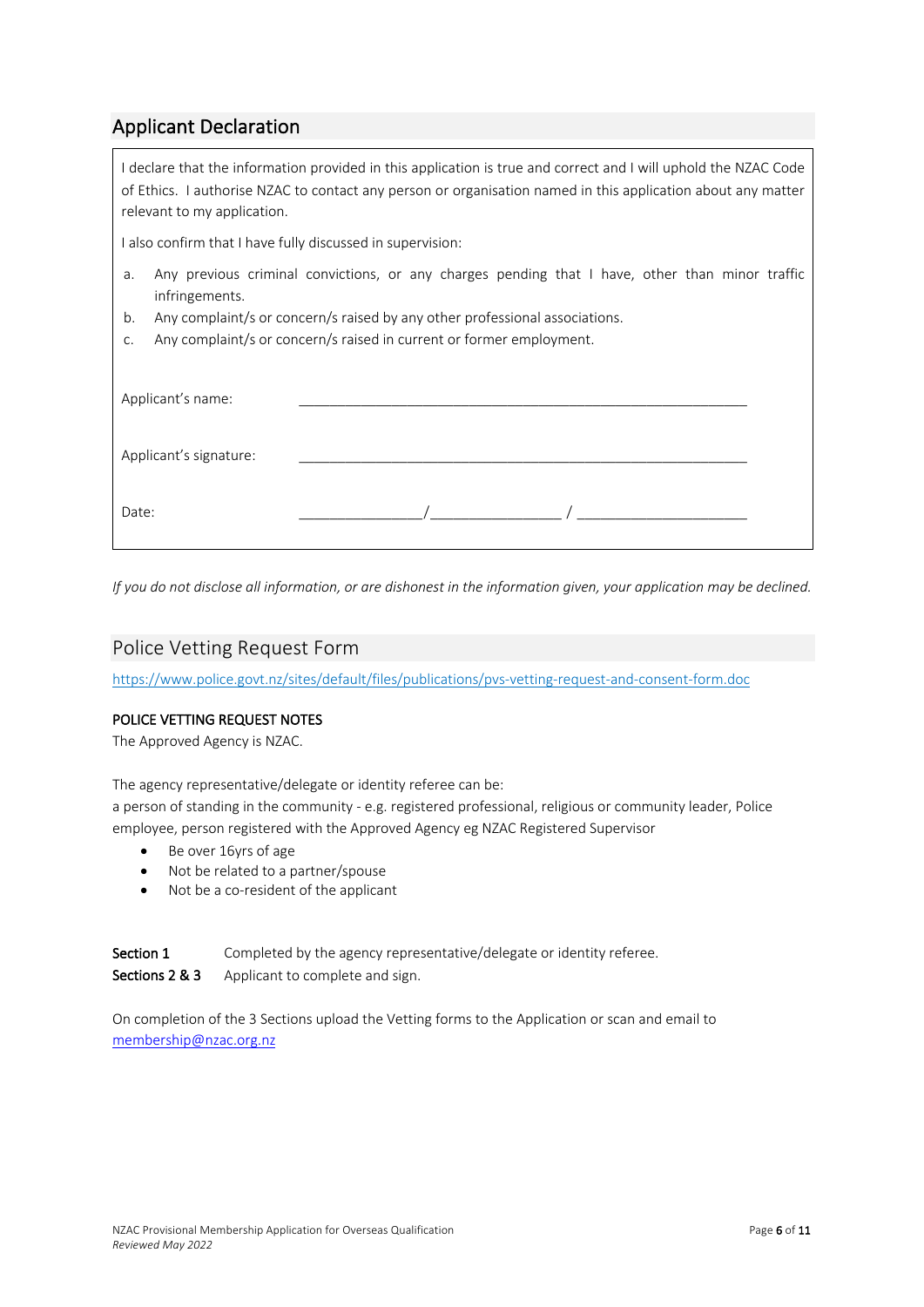#### Applicant Declaration

I declare that the information provided in this application is true and correct and I will uphold the NZAC Code of Ethics. I authorise NZAC to contact any person or organisation named in this application about any matter relevant to my application. I also confirm that I have fully discussed in supervision: a. Any previous criminal convictions, or any charges pending that I have, other than minor traffic infringements. b. Any complaint/s or concern/s raised by any other professional associations. c. Any complaint/s or concern/s raised in current or former employment. Applicant's name: Applicant's signature: Date:  $\qquad \qquad /\qquad \qquad /\qquad \qquad /\qquad \qquad$ 

*If you do not disclose all information, or are dishonest in the information given, your application may be declined.*

#### Police Vetting Request Form

https://www.police.govt.nz/sites/default/files/publications/pvs-vetting-request-and-consent-form.doc

#### POLICE VETTING REQUEST NOTES

The Approved Agency is NZAC.

The agency representative/delegate or identity referee can be:

a person of standing in the community - e.g. registered professional, religious or community leader, Police employee, person registered with the Approved Agency eg NZAC Registered Supervisor

- Be over 16yrs of age
- Not be related to a partner/spouse
- Not be a co-resident of the applicant

Section 1 Completed by the agency representative/delegate or identity referee. Sections 2 & 3 Applicant to complete and sign.

On completion of the 3 Sections upload the Vetting forms to the Application or scan and email to membership@nzac.org.nz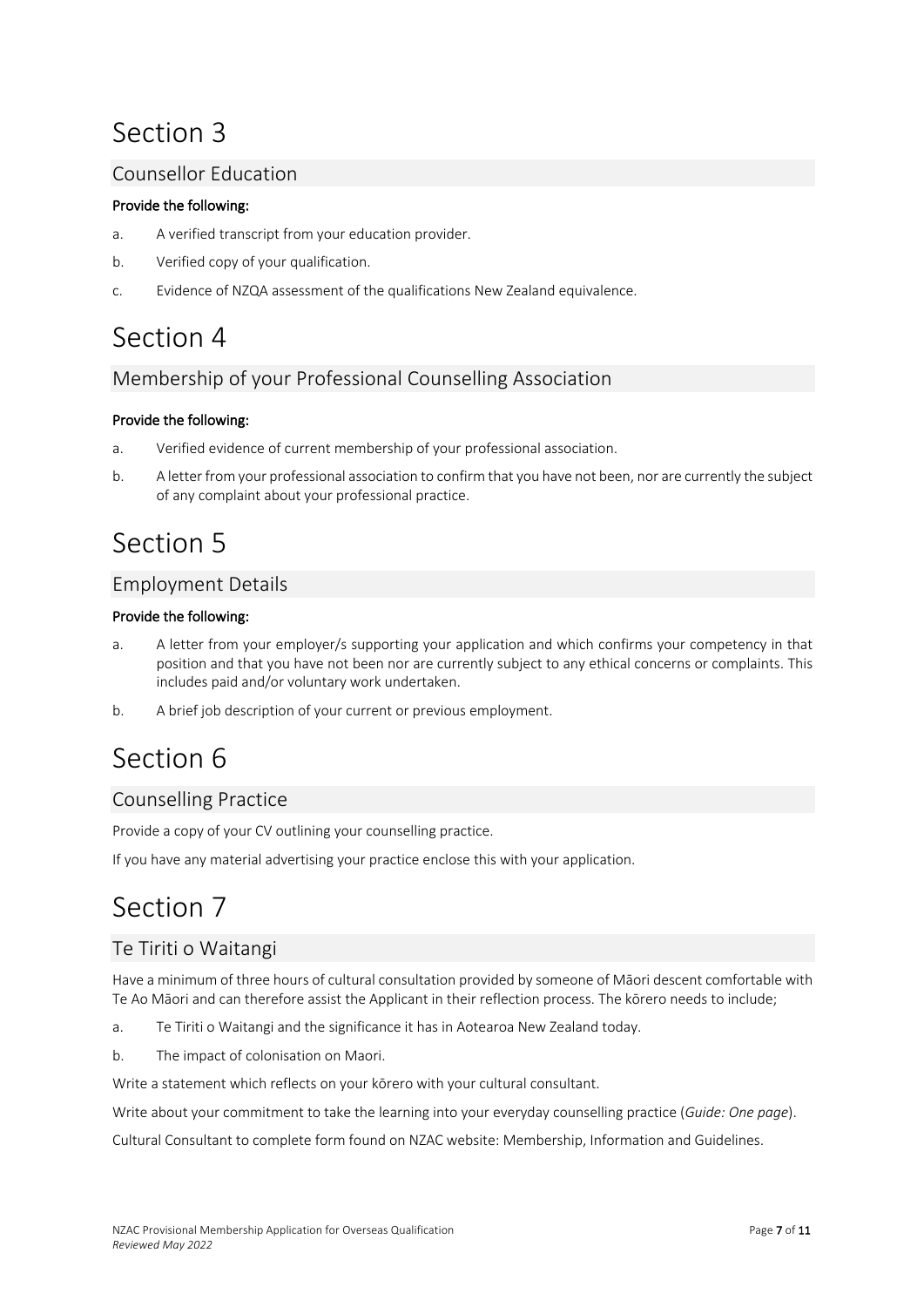### Section 3

#### Counsellor Education

#### Provide the following:

- a. A verified transcript from your education provider.
- b. Verified copy of your qualification.
- c. Evidence of NZQA assessment of the qualifications New Zealand equivalence.

### Section 4

#### Membership of your Professional Counselling Association

#### Provide the following:

- a. Verified evidence of current membership of your professional association.
- b. A letter from your professional association to confirm that you have not been, nor are currently the subject of any complaint about your professional practice.

### Section 5

#### Employment Details

#### Provide the following:

- a. A letter from your employer/s supporting your application and which confirms your competency in that position and that you have not been nor are currently subject to any ethical concerns or complaints. This includes paid and/or voluntary work undertaken.
- b. A brief job description of your current or previous employment.

### Section 6

#### Counselling Practice

Provide a copy of your CV outlining your counselling practice.

If you have any material advertising your practice enclose this with your application.

### Section 7

#### Te Tiriti o Waitangi

Have a minimum of three hours of cultural consultation provided by someone of Māori descent comfortable with Te Ao Māori and can therefore assist the Applicant in their reflection process. The kōrero needs to include;

- a. Te Tiriti o Waitangi and the significance it has in Aotearoa New Zealand today.
- b. The impact of colonisation on Maori.

Write a statement which reflects on your kōrero with your cultural consultant.

Write about your commitment to take the learning into your everyday counselling practice (*Guide: One page*).

Cultural Consultant to complete form found on NZAC website: Membership, Information and Guidelines.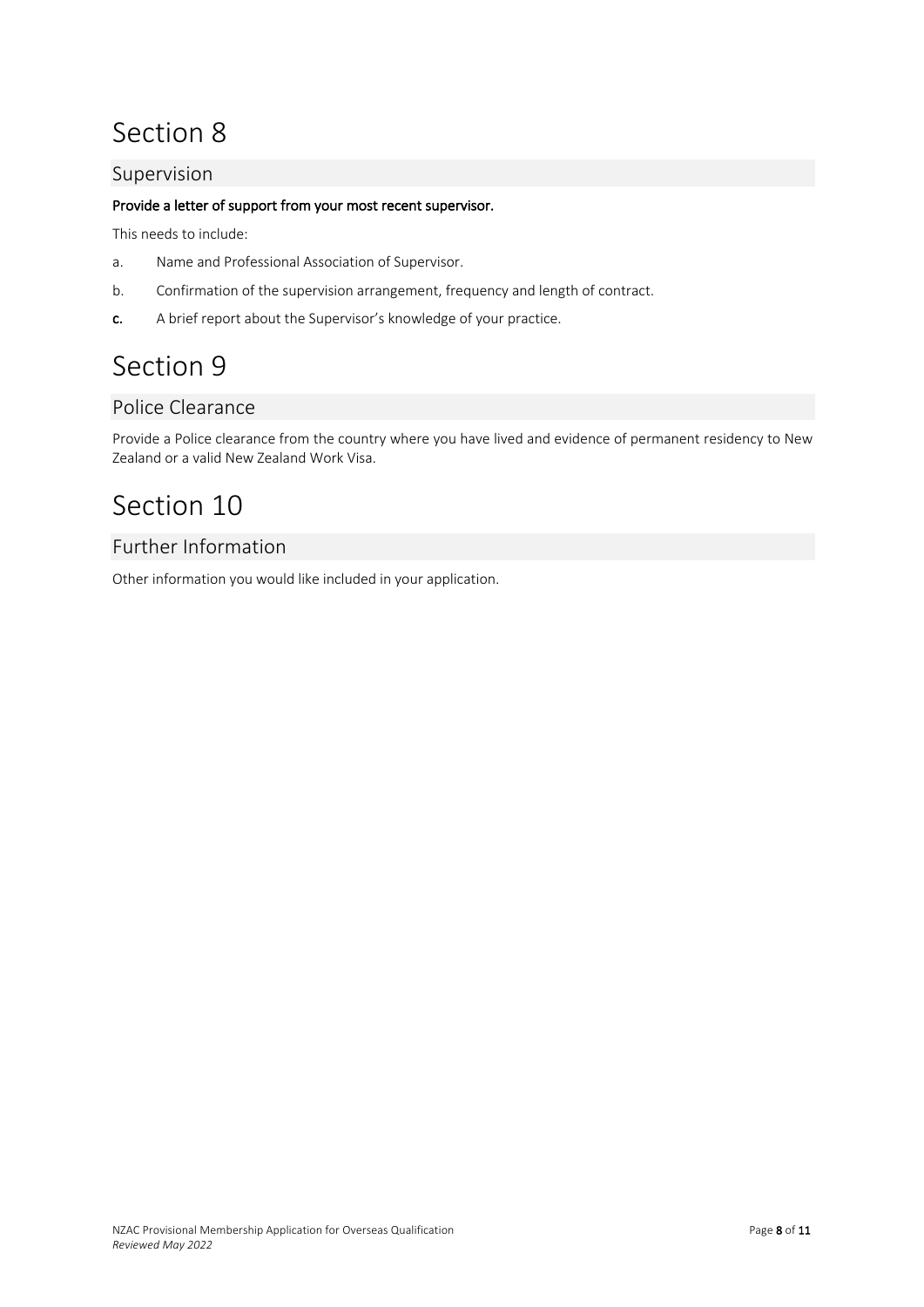### Section 8

#### Supervision

#### Provide a letter of support from your most recent supervisor.

This needs to include:

- a. Name and Professional Association of Supervisor.
- b. Confirmation of the supervision arrangement, frequency and length of contract.
- c. A brief report about the Supervisor's knowledge of your practice.

### Section 9

#### Police Clearance

Provide a Police clearance from the country where you have lived and evidence of permanent residency to New Zealand or a valid New Zealand Work Visa.

### Section 10

#### Further Information

Other information you would like included in your application.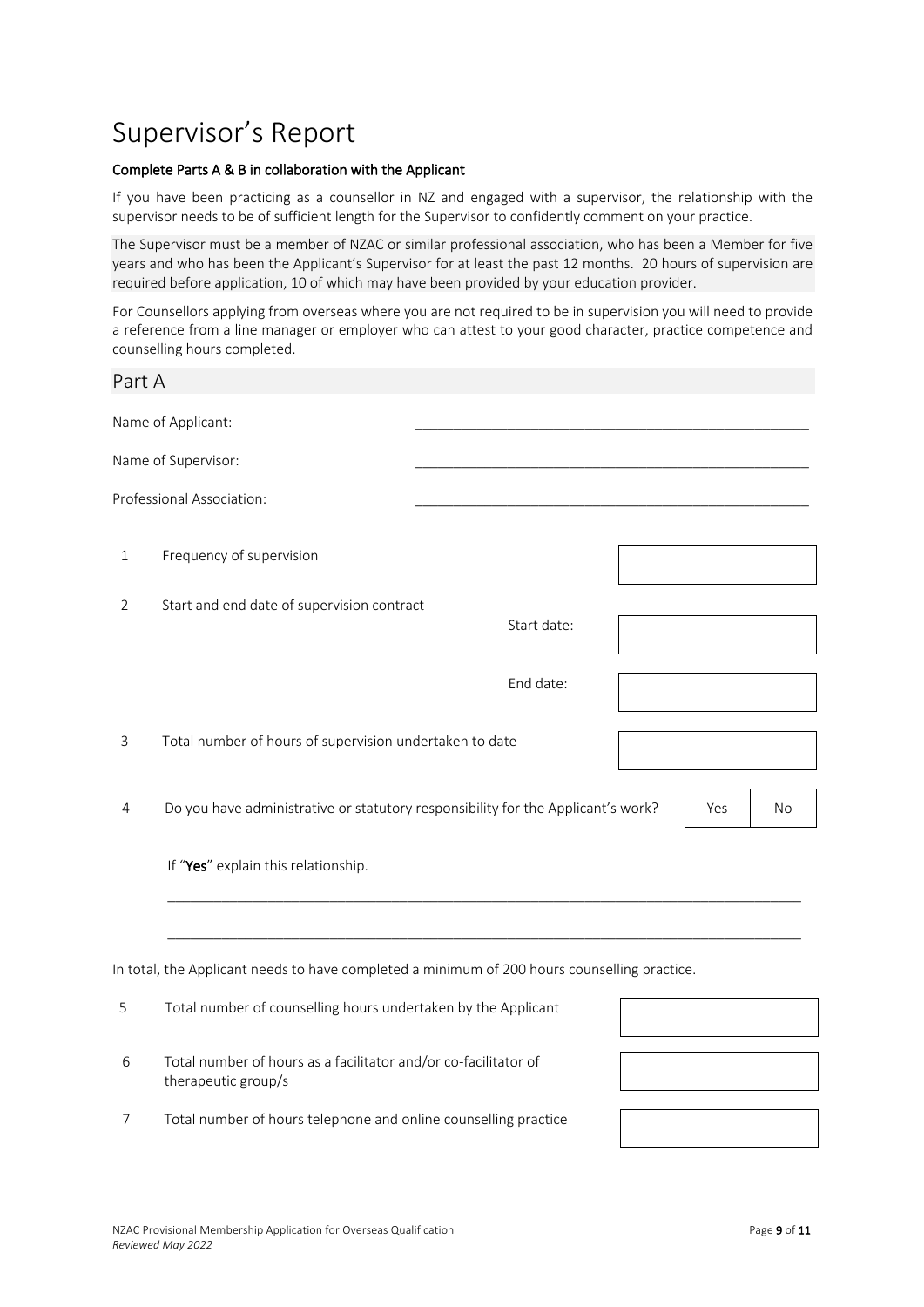### Supervisor's Report

#### Complete Parts A & B in collaboration with the Applicant

If you have been practicing as a counsellor in NZ and engaged with a supervisor, the relationship with the supervisor needs to be of sufficient length for the Supervisor to confidently comment on your practice.

The Supervisor must be a member of NZAC or similar professional association, who has been a Member for five years and who has been the Applicant's Supervisor for at least the past 12 months. 20 hours of supervision are required before application, 10 of which may have been provided by your education provider.

For Counsellors applying from overseas where you are not required to be in supervision you will need to provide a reference from a line manager or employer who can attest to your good character, practice competence and counselling hours completed.

# Part A Name of Applicant: Name of Supervisor: Professional Association: 1 Frequency of supervision 2 Start and end date of supervision contract Start date: End date: 3 Total number of hours of supervision undertaken to date 4 Do you have administrative or statutory responsibility for the Applicant's work? Yes No If "Yes" explain this relationship. \_\_\_\_\_\_\_\_\_\_\_\_\_\_\_\_\_\_\_\_\_\_\_\_\_\_\_\_\_\_\_\_\_\_\_\_\_\_\_\_\_\_\_\_\_\_\_\_\_\_\_\_\_\_\_\_\_\_\_\_\_\_\_\_\_\_\_\_\_\_\_\_\_\_\_\_\_\_\_\_\_\_ \_\_\_\_\_\_\_\_\_\_\_\_\_\_\_\_\_\_\_\_\_\_\_\_\_\_\_\_\_\_\_\_\_\_\_\_\_\_\_\_\_\_\_\_\_\_\_\_\_\_\_\_\_\_\_\_\_\_\_\_\_\_\_\_\_\_\_\_\_\_\_\_\_\_\_\_\_\_\_\_\_\_ In total, the Applicant needs to have completed a minimum of 200 hours counselling practice. 5 Total number of counselling hours undertaken by the Applicant

- 6 Total number of hours as a facilitator and/or co-facilitator of therapeutic group/s
- 7 Total number of hours telephone and online counselling practice

NZAC Provisional Membership Application for Overseas Qualification **Page 9 of 11** Page 9 of 11 *Reviewed May 2022*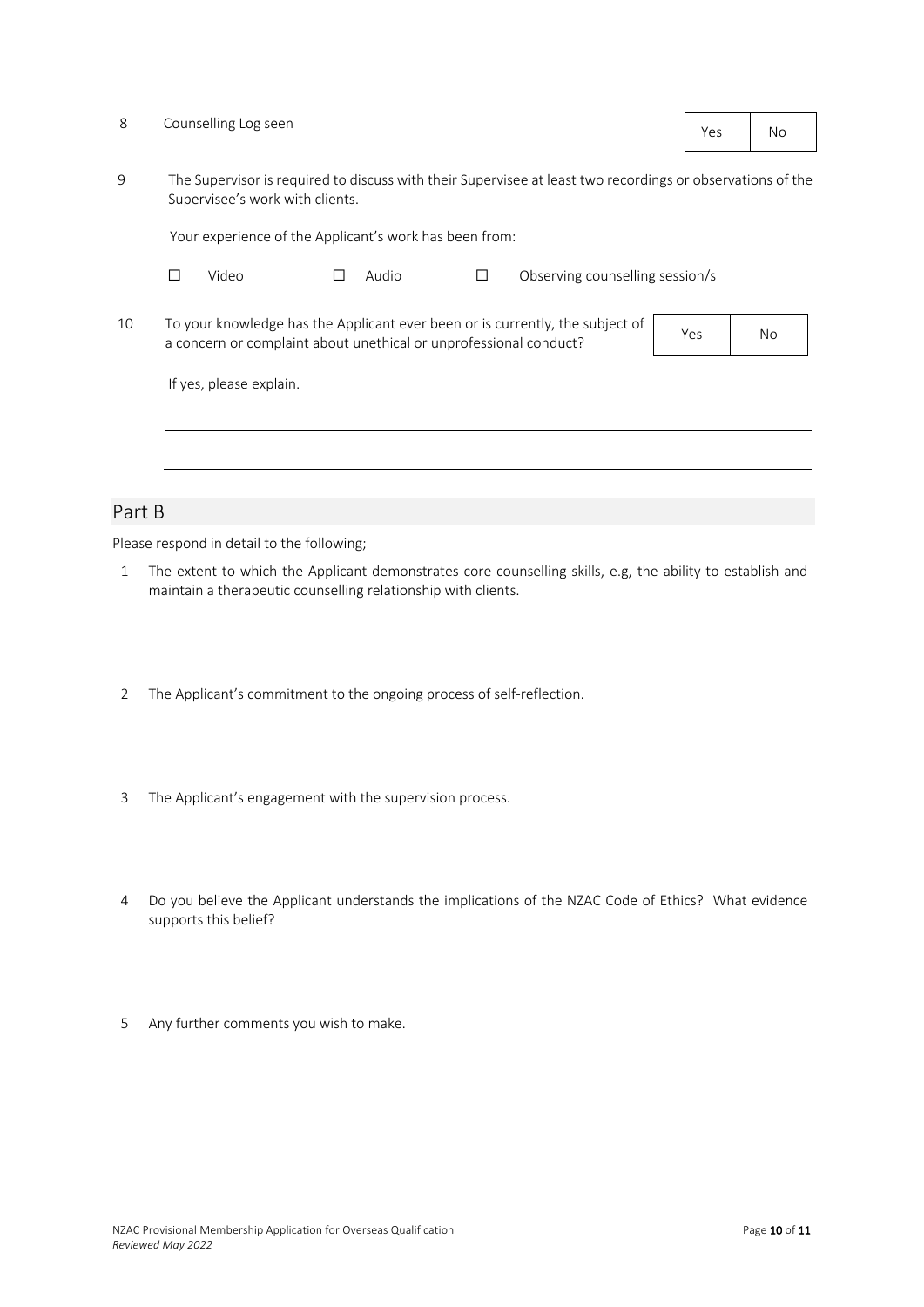| 8      |                                                                                                                                                                                                         | Counselling Log seen |  |       |   |                                 | Yes | No |  |
|--------|---------------------------------------------------------------------------------------------------------------------------------------------------------------------------------------------------------|----------------------|--|-------|---|---------------------------------|-----|----|--|
| 9      | The Supervisor is required to discuss with their Supervisee at least two recordings or observations of the<br>Supervisee's work with clients.<br>Your experience of the Applicant's work has been from: |                      |  |       |   |                                 |     |    |  |
|        |                                                                                                                                                                                                         |                      |  |       |   |                                 |     |    |  |
|        | П                                                                                                                                                                                                       | Video                |  | Audio | П | Observing counselling session/s |     |    |  |
| 10     | To your knowledge has the Applicant ever been or is currently, the subject of<br>Yes<br>a concern or complaint about unethical or unprofessional conduct?                                               |                      |  |       |   |                                 |     | No |  |
|        | If yes, please explain.                                                                                                                                                                                 |                      |  |       |   |                                 |     |    |  |
|        |                                                                                                                                                                                                         |                      |  |       |   |                                 |     |    |  |
|        |                                                                                                                                                                                                         |                      |  |       |   |                                 |     |    |  |
| Part B |                                                                                                                                                                                                         |                      |  |       |   |                                 |     |    |  |

Please respond in detail to the following;

- 1 The extent to which the Applicant demonstrates core counselling skills, e.g, the ability to establish and maintain a therapeutic counselling relationship with clients.
- 2 The Applicant's commitment to the ongoing process of self-reflection.
- 3 The Applicant's engagement with the supervision process.
- 4 Do you believe the Applicant understands the implications of the NZAC Code of Ethics? What evidence supports this belief?
- 5 Any further comments you wish to make.